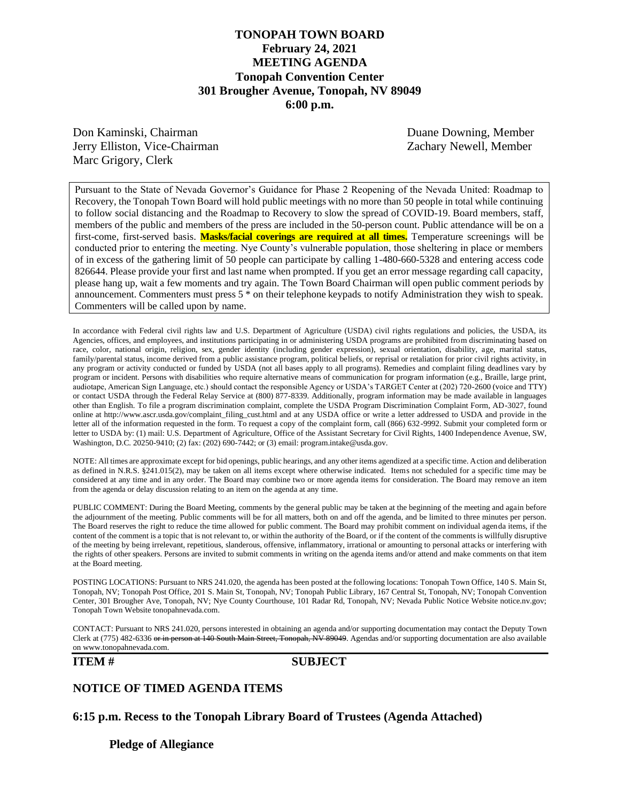## **TONOPAH TOWN BOARD February 24, 2021 MEETING AGENDA Tonopah Convention Center 301 Brougher Avenue, Tonopah, NV 89049 6:00 p.m.**

Don Kaminski, Chairman Duane Downing, Member Jerry Elliston, Vice-Chairman Zachary Newell, Member Marc Grigory, Clerk

Pursuant to the State of Nevada Governor's Guidance for Phase 2 Reopening of the Nevada United: Roadmap to Recovery, the Tonopah Town Board will hold public meetings with no more than 50 people in total while continuing to follow social distancing and the Roadmap to Recovery to slow the spread of COVID-19. Board members, staff, members of the public and members of the press are included in the 50-person count. Public attendance will be on a first-come, first-served basis. **Masks/facial coverings are required at all times.** Temperature screenings will be conducted prior to entering the meeting. Nye County's vulnerable population, those sheltering in place or members of in excess of the gathering limit of 50 people can participate by calling 1-480-660-5328 and entering access code 826644. Please provide your first and last name when prompted. If you get an error message regarding call capacity, please hang up, wait a few moments and try again. The Town Board Chairman will open public comment periods by announcement. Commenters must press 5 \* on their telephone keypads to notify Administration they wish to speak. Commenters will be called upon by name.

In accordance with Federal civil rights law and U.S. Department of Agriculture (USDA) civil rights regulations and policies, the USDA, its Agencies, offices, and employees, and institutions participating in or administering USDA programs are prohibited from discriminating based on race, color, national origin, religion, sex, gender identity (including gender expression), sexual orientation, disability, age, marital status, family/parental status, income derived from a public assistance program, political beliefs, or reprisal or retaliation for prior civil rights activity, in any program or activity conducted or funded by USDA (not all bases apply to all programs). Remedies and complaint filing deadlines vary by program or incident. Persons with disabilities who require alternative means of communication for program information (e.g., Braille, large print, audiotape, American Sign Language, etc.) should contact the responsible Agency or USDA's TARGET Center at (202) 720-2600 (voice and TTY) or contact USDA through the Federal Relay Service at (800) 877-8339. Additionally, program information may be made available in languages other than English. To file a program discrimination complaint, complete the USDA Program Discrimination Complaint Form, AD-3027, found online at http://www.ascr.usda.gov/complaint\_filing\_cust.html and at any USDA office or write a letter addressed to USDA and provide in the letter all of the information requested in the form. To request a copy of the complaint form, call (866) 632-9992. Submit your completed form or letter to USDA by: (1) mail: U.S. Department of Agriculture, Office of the Assistant Secretary for Civil Rights, 1400 Independence Avenue, SW, Washington, D.C. 20250-9410; (2) fax: (202) 690-7442; or (3) email: program.intake@usda.gov.

NOTE: All times are approximate except for bid openings, public hearings, and any other items agendized at a specific time. Action and deliberation as defined in N.R.S. §241.015(2), may be taken on all items except where otherwise indicated. Items not scheduled for a specific time may be considered at any time and in any order. The Board may combine two or more agenda items for consideration. The Board may remove an item from the agenda or delay discussion relating to an item on the agenda at any time.

PUBLIC COMMENT: During the Board Meeting, comments by the general public may be taken at the beginning of the meeting and again before the adjournment of the meeting. Public comments will be for all matters, both on and off the agenda, and be limited to three minutes per person. The Board reserves the right to reduce the time allowed for public comment. The Board may prohibit comment on individual agenda items, if the content of the comment is a topic that is not relevant to, or within the authority of the Board, or if the content of the comments is willfully disruptive of the meeting by being irrelevant, repetitious, slanderous, offensive, inflammatory, irrational or amounting to personal attacks or interfering with the rights of other speakers. Persons are invited to submit comments in writing on the agenda items and/or attend and make comments on that item at the Board meeting.

POSTING LOCATIONS: Pursuant to NRS 241.020, the agenda has been posted at the following locations: Tonopah Town Office, 140 S. Main St, Tonopah, NV; Tonopah Post Office, 201 S. Main St, Tonopah, NV; Tonopah Public Library, 167 Central St, Tonopah, NV; Tonopah Convention Center, 301 Brougher Ave, Tonopah, NV; Nye County Courthouse, 101 Radar Rd, Tonopah, NV; Nevada Public Notice Website notice.nv.gov; Tonopah Town Website tonopahnevada.com.

CONTACT: Pursuant to NRS 241.020, persons interested in obtaining an agenda and/or supporting documentation may contact the Deputy Town Clerk at (775) 482-6336 or in person at 140 South Main Street, Tonopah, NV 89049. Agendas and/or supporting documentation are also available on www.tonopahnevada.com.

#### **ITEM # SUBJECT**

#### **NOTICE OF TIMED AGENDA ITEMS**

**6:15 p.m. Recess to the Tonopah Library Board of Trustees (Agenda Attached)**

**Pledge of Allegiance**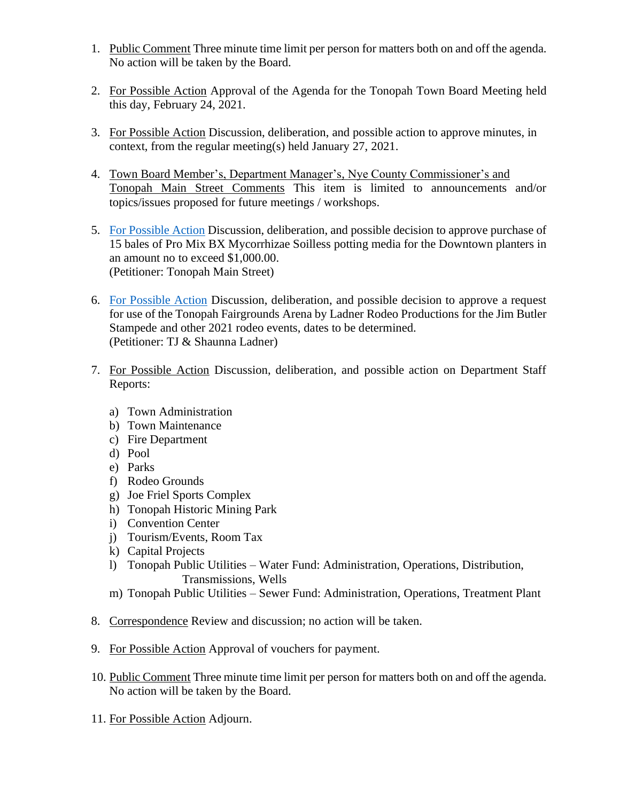- 1. Public Comment Three minute time limit per person for matters both on and off the agenda. No action will be taken by the Board.
- 2. For Possible Action Approval of the Agenda for the Tonopah Town Board Meeting held this day, February 24, 2021.
- 3. For Possible Action Discussion, deliberation, and possible action to approve minutes, in context, from the regular meeting(s) held January 27, 2021.
- 4. Town Board Member's, Department Manager's, Nye County Commissioner's and Tonopah Main Street Comments This item is limited to announcements and/or topics/issues proposed for future meetings / workshops.
- 5. [For Possible Action](https://www.tonopahnevada.com/agendas/backup-2021/2-24-2021-item-5.pdf) Discussion, deliberation, and possible decision to approve purchase of 15 bales of Pro Mix BX Mycorrhizae Soilless potting media for the Downtown planters in an amount no to exceed \$1,000.00. (Petitioner: Tonopah Main Street)
- 6. [For Possible Action](https://www.tonopahnevada.com/agendas/backup-2021/2-24-2021-item-6.pdf) Discussion, deliberation, and possible decision to approve a request for use of the Tonopah Fairgrounds Arena by Ladner Rodeo Productions for the Jim Butler Stampede and other 2021 rodeo events, dates to be determined. (Petitioner: TJ & Shaunna Ladner)
- 7. For Possible Action Discussion, deliberation, and possible action on Department Staff Reports:
	- a) Town Administration
	- b) Town Maintenance
	- c) Fire Department
	- d) Pool
	- e) Parks
	- f) Rodeo Grounds
	- g) Joe Friel Sports Complex
	- h) Tonopah Historic Mining Park
	- i) Convention Center
	- j) Tourism/Events, Room Tax
	- k) Capital Projects
	- l) Tonopah Public Utilities Water Fund: Administration, Operations, Distribution, Transmissions, Wells
	- m) Tonopah Public Utilities Sewer Fund: Administration, Operations, Treatment Plant
- 8. Correspondence Review and discussion; no action will be taken.
- 9. For Possible Action Approval of vouchers for payment.
- 10. Public Comment Three minute time limit per person for matters both on and off the agenda. No action will be taken by the Board.
- 11. For Possible Action Adjourn.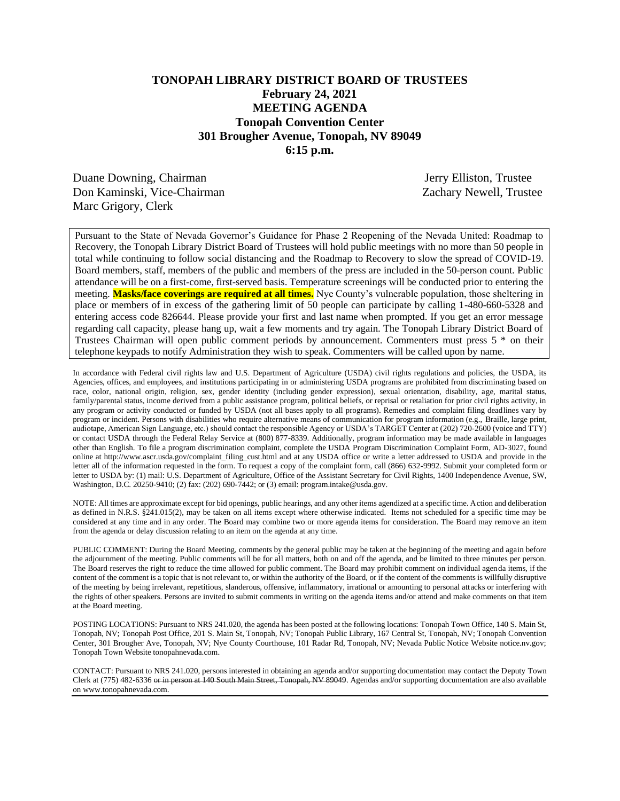## **TONOPAH LIBRARY DISTRICT BOARD OF TRUSTEES February 24, 2021 MEETING AGENDA Tonopah Convention Center 301 Brougher Avenue, Tonopah, NV 89049 6:15 p.m.**

Duane Downing, Chairman Jerry Elliston, Trustee Don Kaminski, Vice-Chairman Zachary Newell, Trustee Marc Grigory, Clerk

Pursuant to the State of Nevada Governor's Guidance for Phase 2 Reopening of the Nevada United: Roadmap to Recovery, the Tonopah Library District Board of Trustees will hold public meetings with no more than 50 people in total while continuing to follow social distancing and the Roadmap to Recovery to slow the spread of COVID-19. Board members, staff, members of the public and members of the press are included in the 50-person count. Public attendance will be on a first-come, first-served basis. Temperature screenings will be conducted prior to entering the meeting. **Masks/face coverings are required at all times.** Nye County's vulnerable population, those sheltering in place or members of in excess of the gathering limit of 50 people can participate by calling 1-480-660-5328 and entering access code 826644. Please provide your first and last name when prompted. If you get an error message regarding call capacity, please hang up, wait a few moments and try again. The Tonopah Library District Board of Trustees Chairman will open public comment periods by announcement. Commenters must press 5 \* on their telephone keypads to notify Administration they wish to speak. Commenters will be called upon by name.

In accordance with Federal civil rights law and U.S. Department of Agriculture (USDA) civil rights regulations and policies, the USDA, its Agencies, offices, and employees, and institutions participating in or administering USDA programs are prohibited from discriminating based on race, color, national origin, religion, sex, gender identity (including gender expression), sexual orientation, disability, age, marital status, family/parental status, income derived from a public assistance program, political beliefs, or reprisal or retaliation for prior civil rights activity, in any program or activity conducted or funded by USDA (not all bases apply to all programs). Remedies and complaint filing deadlines vary by program or incident. Persons with disabilities who require alternative means of communication for program information (e.g., Braille, large print, audiotape, American Sign Language, etc.) should contact the responsible Agency or USDA's TARGET Center at (202) 720-2600 (voice and TTY) or contact USDA through the Federal Relay Service at (800) 877-8339. Additionally, program information may be made available in languages other than English. To file a program discrimination complaint, complete the USDA Program Discrimination Complaint Form, AD-3027, found online at http://www.ascr.usda.gov/complaint\_filing\_cust.html and at any USDA office or write a letter addressed to USDA and provide in the letter all of the information requested in the form. To request a copy of the complaint form, call (866) 632-9992. Submit your completed form or letter to USDA by: (1) mail: U.S. Department of Agriculture, Office of the Assistant Secretary for Civil Rights, 1400 Independence Avenue, SW, Washington, D.C. 20250-9410; (2) fax: (202) 690-7442; or (3) email: program.intake@usda.gov.

NOTE: All times are approximate except for bid openings, public hearings, and any other items agendized at a specific time. Action and deliberation as defined in N.R.S. §241.015(2), may be taken on all items except where otherwise indicated. Items not scheduled for a specific time may be considered at any time and in any order. The Board may combine two or more agenda items for consideration. The Board may remove an item from the agenda or delay discussion relating to an item on the agenda at any time.

PUBLIC COMMENT: During the Board Meeting, comments by the general public may be taken at the beginning of the meeting and again before the adjournment of the meeting. Public comments will be for all matters, both on and off the agenda, and be limited to three minutes per person. The Board reserves the right to reduce the time allowed for public comment. The Board may prohibit comment on individual agenda items, if the content of the comment is a topic that is not relevant to, or within the authority of the Board, or if the content of the comments is willfully disruptive of the meeting by being irrelevant, repetitious, slanderous, offensive, inflammatory, irrational or amounting to personal attacks or interfering with the rights of other speakers. Persons are invited to submit comments in writing on the agenda items and/or attend and make comments on that item at the Board meeting.

POSTING LOCATIONS: Pursuant to NRS 241.020, the agenda has been posted at the following locations: Tonopah Town Office, 140 S. Main St, Tonopah, NV; Tonopah Post Office, 201 S. Main St, Tonopah, NV; Tonopah Public Library, 167 Central St, Tonopah, NV; Tonopah Convention Center, 301 Brougher Ave, Tonopah, NV; Nye County Courthouse, 101 Radar Rd, Tonopah, NV; Nevada Public Notice Website notice.nv.gov; Tonopah Town Website tonopahnevada.com.

CONTACT: Pursuant to NRS 241.020, persons interested in obtaining an agenda and/or supporting documentation may contact the Deputy Town Clerk at (775) 482-6336 or in person at 140 South Main Street, Tonopah, NV 89049. Agendas and/or supporting documentation are also available on www.tonopahnevada.com.